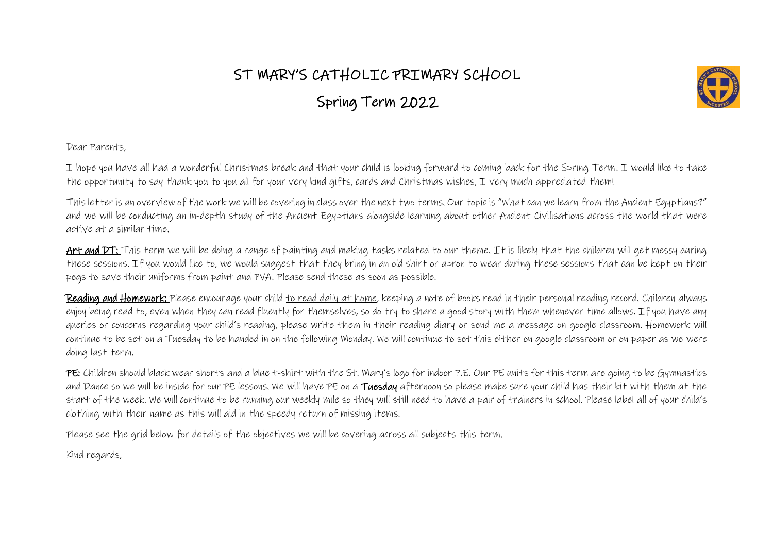## ST MARY'S CATHOLIC PRIMARY SCHOOL

Spring Term 2022



Dear Parents,

I hope you have all had a wonderful Christmas break and that your child is looking forward to coming back for the Spring Term. I would like to take the opportunity to say thank you to you all for your very kind gifts, cards and Christmas wishes, I very much appreciated them!

This letter is an overview of the work we will be covering in class over the next two terms. Our topic is "What can we learn from the Ancient Egyptians?" and we will be conducting an in-depth study of the Ancient Egyptians alongside learning about other Ancient Civilisations across the world that were active at a similar time.

Art and DT: This term we will be doing a range of painting and making tasks related to our theme. It is likely that the children will get messy during these sessions. If you would like to, we would suggest that they bring in an old shirt or apron to wear during these sessions that can be kept on their pegs to save their uniforms from paint and PVA. Please send these as soon as possible.

Reading and Homework: Please encourage your child to read daily at home, keeping a note of books read in their personal reading record. Children always enjoy being read to, even when they can read fluently for themselves, so do try to share a good story with them whenever time allows. If you have any queries or concerns regarding your child's reading, please write them in their reading diary or send me a message on google classroom. Homework will continue to be set on a Tuesday to be handed in on the following Monday. We will continue to set this either on google classroom or on paper as we were doing last term.

PE: Children should black wear shorts and a blue t-shirt with the St. Mary's logo for indoor P.E. Our PE units for this term are going to be Gymnastics and Dance so we will be inside for our PE lessons. We will have PE on a Tuesday afternoon so please make sure your child has their kit with them at the start of the week. We will continue to be running our weekly mile so they will still need to have a pair of trainers in school. Please label all of your child's clothing with their name as this will aid in the speedy return of missing items.

Please see the grid below for details of the objectives we will be covering across all subjects this term.

Kind regards,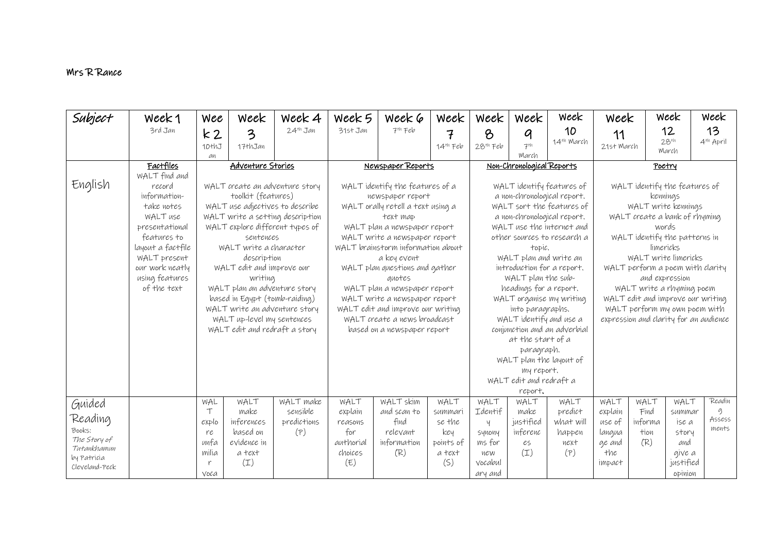## Mrs R Rance

| Subject                     | Week 1                     | Wee           | Week                                                          | Week 4                           | Week 5                                                             | Week 6                            | Week                   | week            | week                                  | Week                         | Week                                        |              | Week               | Week                  |
|-----------------------------|----------------------------|---------------|---------------------------------------------------------------|----------------------------------|--------------------------------------------------------------------|-----------------------------------|------------------------|-----------------|---------------------------------------|------------------------------|---------------------------------------------|--------------|--------------------|-----------------------|
|                             | 3rd Jan                    | k2            | 3                                                             | $24th$ Jan                       | 31st Jan                                                           | $7th$ Feb                         | 7                      | $\delta$        | q                                     | 10                           | 11                                          |              | 12                 | 13                    |
|                             |                            | 10thJ         | 17thJan                                                       |                                  |                                                                    |                                   | $14th$ Feb             | $28th$ Feb      | $7^{th}$                              | 14 <sup>th</sup> March       | 21st March                                  |              | $28^{th}$<br>March | 4 <sup>th</sup> April |
|                             | Factfiles                  | an            | <b>Adventure Stories</b>                                      |                                  |                                                                    |                                   |                        |                 | March<br>Non-Chronological Reports    |                              |                                             |              |                    |                       |
|                             | WALT find and              |               |                                                               |                                  | Newspaper Reports                                                  |                                   |                        |                 |                                       |                              | Poetry                                      |              |                    |                       |
| English                     | record                     |               |                                                               | WALT create an adventure story   | WALT identify the features of a                                    |                                   |                        |                 |                                       | WALT identify features of    | WALT identify the features of               |              |                    |                       |
|                             | information-               |               | toolkit (features)                                            |                                  |                                                                    | newspaper report                  |                        |                 | a non-chronological report.           |                              | kennings                                    |              |                    |                       |
|                             | take notes                 |               | WALT use adjectives to describe                               |                                  |                                                                    | WALT orally retell a text using a |                        |                 |                                       | WALT sort the features of    | WALT write kennings                         |              |                    |                       |
|                             | WALT use<br>presentational |               | WALT explore different types of                               | WALT write a setting description |                                                                    | text map                          |                        |                 | a non-chronological report.           | WALT use the internet and    | WALT create a bank of rhyming               |              |                    |                       |
|                             | features to                |               | sentences                                                     |                                  |                                                                    | WALT plan a newspaper report      |                        |                 |                                       | other sources to research a  | words<br>WALT identify the patterns in      |              |                    |                       |
|                             | layout a factfile          |               | WALT write a character                                        |                                  | WALT write a newspaper report<br>WALT brainstorm information about |                                   |                        |                 | topic.                                |                              | limericks                                   |              |                    |                       |
|                             | WALT present               |               | description                                                   |                                  |                                                                    |                                   | WALT plan and write an |                 | WALT write limericks                  |                              |                                             |              |                    |                       |
|                             | our work neatly            |               | WALT edit and improve our                                     |                                  | WALT plan questions and gather                                     |                                   |                        |                 | introduction for a report.            |                              | WALT perform a poem with clarity            |              |                    |                       |
|                             | using features             |               | writing                                                       |                                  | auotes                                                             |                                   |                        |                 | WALT plan the sub-                    |                              | and expression<br>WALT write a rhyming poem |              |                    |                       |
|                             | of the text                |               | WALT plan an adventure story<br>based in Egypt (tomb-raiding) |                                  | WALT plan a newspaper report<br>WALT write a newspaper report      |                                   |                        |                 | headings for a report.                | WALT organise my writing     | WALT edit and improve our writing           |              |                    |                       |
|                             |                            |               | WALT write an adventure story                                 |                                  | WALT edit and improve our writing                                  |                                   |                        |                 | into paragraphs.                      |                              | WALT perform my own poem with               |              |                    |                       |
|                             |                            |               | WALT up-level my sentences                                    |                                  | WALT create a news broadcast                                       |                                   |                        |                 | WALT identify and use a               |                              | expression and clarity for an audience      |              |                    |                       |
|                             |                            |               | WALT edit and redraft a story                                 |                                  |                                                                    | based on a newspaper report       |                        |                 |                                       | conjunction and an adverbial |                                             |              |                    |                       |
|                             |                            |               |                                                               |                                  |                                                                    |                                   |                        |                 | at the start of a                     |                              |                                             |              |                    |                       |
|                             |                            |               |                                                               |                                  |                                                                    |                                   |                        |                 | paragraph.<br>WALT plan the layout of |                              |                                             |              |                    |                       |
|                             |                            |               |                                                               |                                  |                                                                    |                                   |                        |                 | my report.                            |                              |                                             |              |                    |                       |
|                             |                            |               |                                                               |                                  |                                                                    |                                   |                        |                 | WALT edit and redraft a               |                              |                                             |              |                    |                       |
|                             |                            |               |                                                               |                                  |                                                                    |                                   |                        |                 | report.                               |                              |                                             |              |                    |                       |
| Guided                      |                            | WAL<br>$\top$ | WALT<br>make                                                  | WALT make<br>sensible            | WALT<br>explain                                                    | WALT skim<br>and scan to          | WALT<br>summari        | WALT<br>Identif | WALT<br>make                          | WALT<br>predict              | WALT<br>explain                             | WALT<br>Find | WALT<br>summar     | Readin<br>$\sigma$    |
| Reading                     |                            | explo         | inferences                                                    | predictions                      | reasons                                                            | find                              | se the                 | Ч               | justified                             | what will                    | use of                                      | informa      | ise a              | Assess                |
| Books:                      |                            | re            | based on                                                      | (P)                              | for                                                                | relevant                          | key                    | SYNONY          | inferenc                              | happen                       | langua                                      | tion         | story              | ments                 |
| The Story of<br>Tutankhamun |                            | unfa          | evidence in                                                   |                                  | authorial                                                          | information                       | points of              | ms for          | es                                    | next                         | ge and                                      | (R)          | and                |                       |
| by Patricia                 |                            | milia         | a text                                                        |                                  | choices                                                            | (R)                               | a text                 | new             | $(\mathbb{I})$                        | (P)                          | the                                         |              | give a             |                       |
| Cleveland-Peck              |                            |               | $(\mathbb{I})$                                                |                                  | (E)                                                                |                                   | (S)                    | vocabul         |                                       |                              | impact                                      |              | justified          |                       |
|                             |                            | Voca          |                                                               |                                  |                                                                    |                                   |                        | ary and         |                                       |                              |                                             |              | opinion            |                       |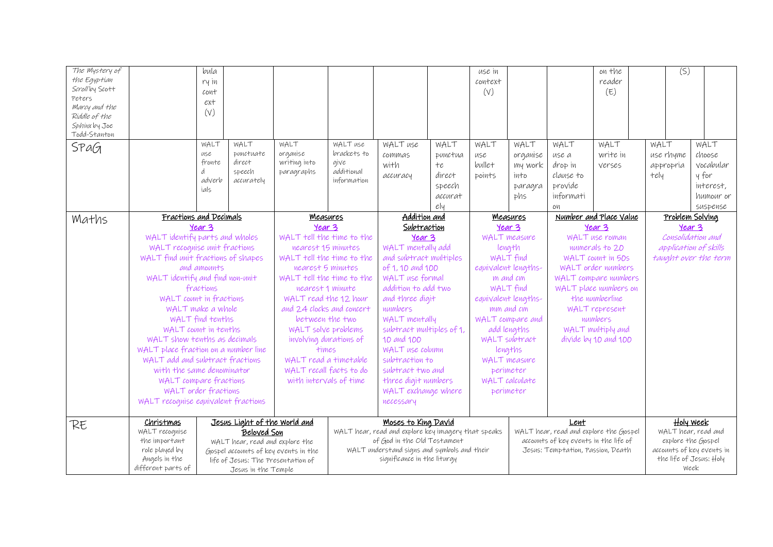| The Mystery of<br>the Egyptian<br>Scrollby Scott<br>Peters<br>Marcy and the<br>Riddle of the<br>Sphinx by Joe<br>Todd-Stanton<br>SPaG |                                      | bula<br>ry in<br>cont<br>ext<br>(V)<br>WALT<br>use<br>fronte<br>d<br>adverb<br>ials | WALT<br>punctuate<br>direct<br>speech<br>accurately | WALT<br>organise<br>writing into<br>paragraphs | WALT use<br>brackets to<br>give<br>additional<br>information | WALT use<br>commas<br>with<br>accuracy              | WALT<br>punctua<br>$+e$<br>direct<br>speech<br>accurat<br>e y | use in<br>context<br>(V)<br>WALT<br>use<br>bullet<br>points | WALT<br>organise<br>my work<br>into<br>paragra<br>phs | WALT<br>use a<br>drop in<br>clause to<br>provide<br>informati<br>OИ | on the<br>reader<br>(E)<br>WALT<br>write in<br>verses | (S)<br>WALT<br>use rhyme<br>appropria<br>tely | WALT<br>choose<br>vocabular<br>y for<br>interest,<br>humour or<br>suspense |
|---------------------------------------------------------------------------------------------------------------------------------------|--------------------------------------|-------------------------------------------------------------------------------------|-----------------------------------------------------|------------------------------------------------|--------------------------------------------------------------|-----------------------------------------------------|---------------------------------------------------------------|-------------------------------------------------------------|-------------------------------------------------------|---------------------------------------------------------------------|-------------------------------------------------------|-----------------------------------------------|----------------------------------------------------------------------------|
| Maths                                                                                                                                 | Fractions and Decimals               |                                                                                     |                                                     | <b>Measures</b>                                |                                                              | Addition and                                        |                                                               | <b>Measures</b>                                             |                                                       | Number and Place Value                                              |                                                       | Problem Solving                               |                                                                            |
|                                                                                                                                       |                                      | Year 3                                                                              |                                                     | Year 3                                         |                                                              | Subtraction                                         |                                                               |                                                             | Year 3                                                |                                                                     | Year 3                                                | Year 3                                        |                                                                            |
|                                                                                                                                       | WALT identify parts and wholes       |                                                                                     |                                                     | WALT tell the time to the                      |                                                              | Year 3                                              |                                                               |                                                             | WALT measure                                          | WALT use roman                                                      |                                                       | Consolidation and                             |                                                                            |
|                                                                                                                                       | WALT recognise unit fractions        |                                                                                     |                                                     | nearest 15 minutes                             |                                                              | WALT mentally add                                   |                                                               | length                                                      |                                                       | numerals to 20                                                      |                                                       | application of skills                         |                                                                            |
|                                                                                                                                       | WALT find unit fractions of shapes   |                                                                                     |                                                     | WALT tell the time to the<br>nearest 5 minutes |                                                              | and subtract multiples                              |                                                               | WALT find                                                   |                                                       | WALT COUNT IN 50S<br>WALT order numbers                             |                                                       |                                               | taught over the term                                                       |
|                                                                                                                                       |                                      | and amounts                                                                         |                                                     |                                                |                                                              | of 1, 10 and 100<br>WALT use formal                 |                                                               | equivalent lengths-<br>m and cm                             |                                                       |                                                                     |                                                       |                                               |                                                                            |
|                                                                                                                                       | WALT identify and find non-unit      |                                                                                     |                                                     | WALT tell the time to the                      |                                                              | addition to add two                                 |                                                               | WALT find                                                   |                                                       | WALT compare numbers<br>WALT place numbers on                       |                                                       |                                               |                                                                            |
|                                                                                                                                       | WALT count in fractions              | fractions                                                                           |                                                     | nearest 1 minute<br>WALT read the 12 hour      |                                                              | and three digit                                     |                                                               | equivalent lengths-                                         |                                                       | the numberline                                                      |                                                       |                                               |                                                                            |
|                                                                                                                                       | WALT make a whole                    |                                                                                     |                                                     | and 24 clocks and concert                      |                                                              | numbers                                             |                                                               | mm and cm                                                   |                                                       |                                                                     | WALT represent                                        |                                               |                                                                            |
|                                                                                                                                       |                                      | WALT find tenths                                                                    |                                                     | between the two                                |                                                              | WALT mentally                                       |                                                               | WALT compare and                                            |                                                       |                                                                     |                                                       |                                               |                                                                            |
|                                                                                                                                       | WALT count in tenths                 |                                                                                     |                                                     | WALT solve problems                            |                                                              | subtract multiples of 1,                            |                                                               | add lengths                                                 |                                                       | numbers<br>WALT multiply and                                        |                                                       |                                               |                                                                            |
|                                                                                                                                       | WALT show tenths as decimals         |                                                                                     |                                                     | involving durations of                         |                                                              | 10 and 100                                          |                                                               | WALT subtract                                               |                                                       | divide by 10 and 100                                                |                                                       |                                               |                                                                            |
|                                                                                                                                       | WALT place fraction on a number line |                                                                                     |                                                     | times                                          |                                                              | WALT use column                                     |                                                               | lengths                                                     |                                                       |                                                                     |                                                       |                                               |                                                                            |
|                                                                                                                                       | WALT add and subtract fractions      |                                                                                     |                                                     | WALT read a timetable                          |                                                              | subtraction to                                      |                                                               | WALT measure                                                |                                                       |                                                                     |                                                       |                                               |                                                                            |
|                                                                                                                                       | with the same denominator            |                                                                                     |                                                     | WALT recall facts to do                        |                                                              | subtract two and                                    |                                                               | perimeter                                                   |                                                       |                                                                     |                                                       |                                               |                                                                            |
|                                                                                                                                       | WALT compare fractions               |                                                                                     |                                                     | with intervals of time                         |                                                              | three digit numbers                                 |                                                               | WALT calculate                                              |                                                       |                                                                     |                                                       |                                               |                                                                            |
|                                                                                                                                       | WALT order fractions                 |                                                                                     |                                                     |                                                |                                                              | WALT exchange where                                 |                                                               | perimeter                                                   |                                                       |                                                                     |                                                       |                                               |                                                                            |
|                                                                                                                                       | WALT recognise equivalent fractions  |                                                                                     |                                                     |                                                | necessary                                                    |                                                     |                                                               |                                                             |                                                       |                                                                     |                                                       |                                               |                                                                            |
|                                                                                                                                       | Christmas                            |                                                                                     | Jesus Light of the World and                        |                                                |                                                              | Moses to King David                                 |                                                               |                                                             |                                                       | Lent                                                                |                                                       |                                               | <b>Holy Week</b>                                                           |
| RE                                                                                                                                    | WALT recognise                       |                                                                                     | Beloved Son                                         |                                                |                                                              | WALT hear, read and explore key imagery that speaks |                                                               |                                                             |                                                       |                                                                     | WALT hear, read and explore the Gospel                |                                               | WALT hear, read and                                                        |
|                                                                                                                                       | the important                        |                                                                                     | WALT hear, read and explore the                     |                                                |                                                              | of God in the Old Testament                         |                                                               |                                                             |                                                       | accounts of key events in the life of                               |                                                       |                                               | explore the Gospel                                                         |
|                                                                                                                                       | role played by                       |                                                                                     | Gospel accounts of key events in the                |                                                |                                                              | WALT understand signs and symbols and their         |                                                               | Jesus: Temptation, Passion, Death                           |                                                       |                                                                     |                                                       |                                               | accounts of key events in                                                  |
|                                                                                                                                       | Angels in the                        |                                                                                     | life of Jesus: The Presentation of                  |                                                |                                                              | significance in the liturgy                         |                                                               |                                                             |                                                       |                                                                     |                                                       |                                               | the life of Jesus: Holy                                                    |
|                                                                                                                                       | different parts of                   |                                                                                     | Jesus in the Temple                                 |                                                |                                                              |                                                     |                                                               |                                                             |                                                       |                                                                     |                                                       |                                               | Week                                                                       |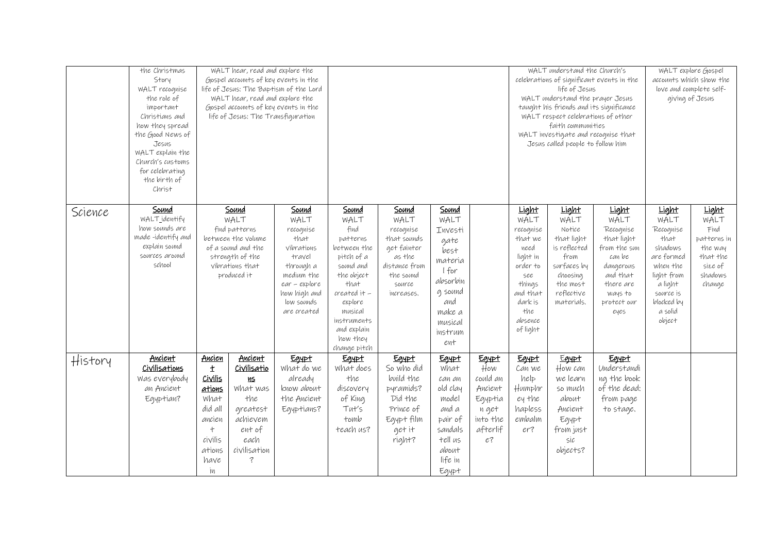|         | the Christmas<br>Story<br>WALT recognise<br>the role of<br>important<br>Christians and<br>how they spread<br>the Good News of<br>Jesus<br>WALT explain the<br>Church's customs<br>for celebrating<br>the birth of<br>Christ |                                                                                                                                 | WALT hear, read and explore the<br>WALT hear, read and explore the<br>life of Jesus: The Transfiguration                              | Gospel accounts of key events in the<br>life of Jesus: The Baptism of the Lord<br>Gospel accounts of key events in the |                                                                                 |                                                                                                                                                         |                                                                                                                                                                                                   |                                                                                                                          |                                                                                                                                   | WALT understand the Church's<br>celebrations of significant events in the<br>life of Jesus<br>WALT understand the prayer Jesus<br>taught his friends and its significance<br>WALT respect celebrations of other<br>faith communities<br>WALT investigate and recognise that<br>Jesus called people to follow him | WALT explore Gospel<br>accounts which show the<br>love and complete self-<br>giving of Jesus                                                                                |                                                                                                                                  |                                                                                                                                            |                                                                                                                                                  |                                                                                             |
|---------|-----------------------------------------------------------------------------------------------------------------------------------------------------------------------------------------------------------------------------|---------------------------------------------------------------------------------------------------------------------------------|---------------------------------------------------------------------------------------------------------------------------------------|------------------------------------------------------------------------------------------------------------------------|---------------------------------------------------------------------------------|---------------------------------------------------------------------------------------------------------------------------------------------------------|---------------------------------------------------------------------------------------------------------------------------------------------------------------------------------------------------|--------------------------------------------------------------------------------------------------------------------------|-----------------------------------------------------------------------------------------------------------------------------------|------------------------------------------------------------------------------------------------------------------------------------------------------------------------------------------------------------------------------------------------------------------------------------------------------------------|-----------------------------------------------------------------------------------------------------------------------------------------------------------------------------|----------------------------------------------------------------------------------------------------------------------------------|--------------------------------------------------------------------------------------------------------------------------------------------|--------------------------------------------------------------------------------------------------------------------------------------------------|---------------------------------------------------------------------------------------------|
| Science | Sound<br>WALT identify<br>how sounds are<br>made-identify and<br>explain sound<br>sources around<br>school                                                                                                                  | Sound<br>WALT<br>find patterns<br>between the volume<br>of a sound and the<br>strength of the<br>vibrations that<br>produced it |                                                                                                                                       |                                                                                                                        |                                                                                 | Sound<br>WALT<br>recognise<br>that<br>vibrations<br>travel<br>through a<br>medium the<br>$ear$ - $explore$<br>how high and<br>low sounds<br>are created | Sound<br>WALT<br>find<br>patterns<br>between the<br>pitch of a<br>sound and<br>the object<br>that<br>created it -<br>explore<br>musical<br>instruments<br>and explain<br>how they<br>change pitch | Sound<br>WALT<br>recognise<br>that sounds<br>get fainter<br>as the<br>distance from<br>the sound<br>source<br>increases. | Sound<br>WALT<br>Investi<br>gate<br>best<br>materia<br>I for<br>absorbin<br>g sound<br>and<br>make a<br>musical<br>instrum<br>ent |                                                                                                                                                                                                                                                                                                                  | Light<br>WALT<br>recognise<br>that we<br>need<br>light in<br>order to<br>$\mathcal{S}\mathcal{C}\mathcal{C}$<br>things<br>and that<br>dark is<br>the<br>absence<br>of light | Light<br>WALT<br>Notice<br>that light<br>is reflected<br>from<br>surfaces by<br>choosing<br>the most<br>reflective<br>materials. | Light<br>WALT<br>Recognise<br>that light<br>from the sun<br>can be<br>dangerous<br>and that<br>there are<br>ways to<br>protect our<br>eyes | Light<br>WALT<br>Recognise<br>that<br>shadows<br>are formed<br>when the<br>light from<br>a light<br>source is<br>blocked by<br>a solid<br>object | Light<br>WALT<br>Find<br>patterns in<br>the way<br>that the<br>size of<br>shadows<br>change |
| History | Ancient<br>Civilisations<br>Was everybody<br>an Ancient<br>Egyptian?                                                                                                                                                        | Ancien<br>$\pm$<br>Civilis<br>ations<br>What<br>did all<br>ancien<br>$^{+}$<br>civilis<br>ations<br>have<br>iи                  | <u>Ancient</u><br>Civilisatio<br><b>MS</b><br>What was<br>the<br>greatest<br>achievem<br>ent of<br>each<br>civilisation<br>$\ddot{?}$ | Egypt<br>What do we<br>already<br>know about<br>the Ancient<br>Egyptians?                                              | Egypt<br>What does<br>the<br>discovery<br>of King<br>Tut's<br>tomb<br>teach us? | Egypt<br>So who did<br>build the<br>pyramids?<br>Did the<br>Prince of<br>Egypt film<br>get it<br>right?                                                 | Egypt<br><b>what</b><br>can an<br>old clay<br>model<br>and a<br>pair of<br>sandals<br>tell us<br>about<br>life in<br>Egypt                                                                        | Egypt<br>How<br>could an<br>Ancient<br>Egyptia<br>n get<br>into the<br>afterlif<br>e <sub>3</sub>                        | Egypt<br>Can we<br>help<br>Humphr<br>ey the<br>hapless<br>embalm<br>er?                                                           | Egypt<br>How can<br>we learn<br>so much<br>about<br>Ancient<br>Egypt<br>from just<br>sic<br>objects?                                                                                                                                                                                                             | Egypt<br>Understandi<br>ng the book<br>of the dead:<br>from page<br>to stage.                                                                                               |                                                                                                                                  |                                                                                                                                            |                                                                                                                                                  |                                                                                             |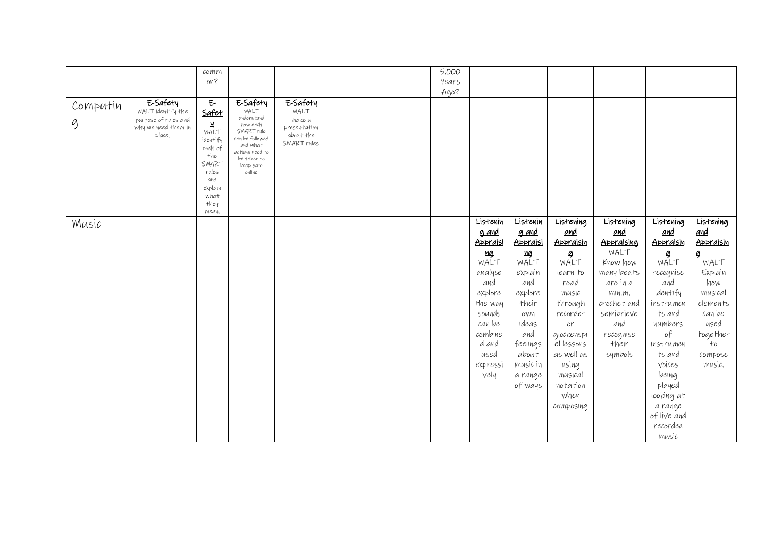| 5,000<br>$\mathcal{C}\mathrm{O}\mathcal{W}\mathrm{M}\mathcal{W}$                 |                        |
|----------------------------------------------------------------------------------|------------------------|
|                                                                                  |                        |
| on?<br>Years                                                                     |                        |
| Ago?                                                                             |                        |
| E-Safety<br>E-Safety<br>E-Safety<br>$\underline{\mathsf{E}}$<br>Computin         |                        |
| WALT<br>Safet<br>WALT identify the<br>WALT<br>understand                         |                        |
| purpose of rules and<br>make a<br>g<br>Ч<br>how each                             |                        |
| why we need them in<br>presentation<br>SMART rule<br>WALT<br>about the<br>place. |                        |
| can be followed<br>identify<br>SMART rules<br>and what                           |                        |
| each of<br>actions need to                                                       |                        |
| the<br>be taken to<br>SMART                                                      |                        |
| keep safe<br>rules<br>online                                                     |                        |
| and                                                                              |                        |
| explain                                                                          |                        |
| what                                                                             |                        |
| they                                                                             |                        |
| mean.                                                                            |                        |
| Listenin<br>Listening<br><b>Listening</b><br>Listenin<br>Music                   | Listening<br>Listening |
| and<br>g and<br><u>g and</u><br><u>and</u>                                       | and<br>and             |
| Appraisi<br>Appraisi<br>Appraisin<br>Appraising                                  | Appraisin<br>Appraisin |
| WALT<br>иg<br><u>ng</u><br>9                                                     | 9<br>9                 |
| WALT<br>WALT<br>WALT<br>Know how                                                 | WALT<br>WALT           |
| analyse<br>explain<br>many beats<br>learn to                                     | Explain<br>recognise   |
| and<br>and<br>read<br>are in a                                                   | how<br>and             |
| explore<br>explore<br>minim,<br>music                                            | identify<br>musical    |
| the way<br>their<br>through<br>crochet and                                       | elements<br>instrumen  |
| semibrieve<br>sounds<br>recorder<br>own                                          | can be<br>ts and       |
|                                                                                  |                        |
| can be<br>ideas<br>and<br>or                                                     | used<br>numbers        |
| combine<br>and<br>glockenspi<br>recognise                                        | together<br>of         |
| d and<br>feelings<br>el lessons<br>their                                         | $+$<br>instrumen       |
| used<br>about<br>as well as<br>symbols                                           | ts and<br>compose      |
| using<br>music in<br>expressi                                                    | voices<br>music.       |
| vely<br>musical<br>a range                                                       | being                  |
| of ways<br>notation                                                              | played                 |
| when                                                                             | looking at             |
| composing                                                                        | a range                |
|                                                                                  | of live and            |
|                                                                                  |                        |
|                                                                                  | music                  |
|                                                                                  | recorded               |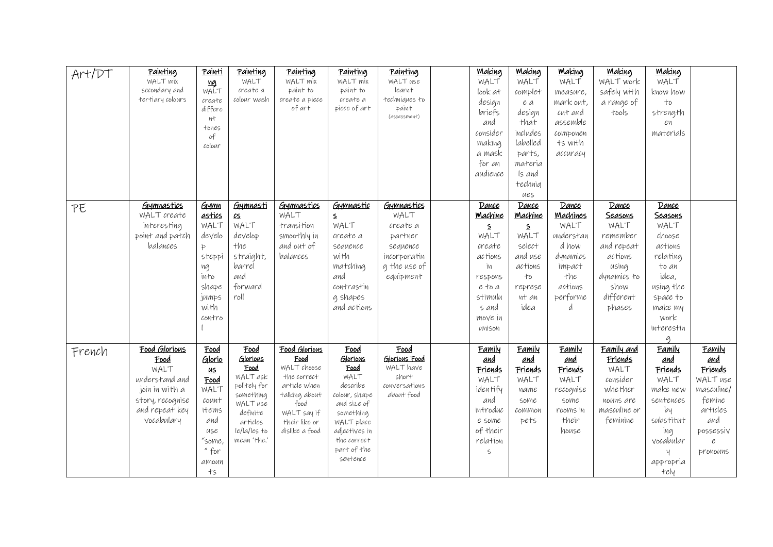| Art/DT | Painting         | <u>Painti</u> | Painting         | Painting                    | Painting         | Painting              | <b>Making</b> | <b>Making</b>  | <b>Making</b>   | <b>Making</b> | <b>Making</b> |               |
|--------|------------------|---------------|------------------|-----------------------------|------------------|-----------------------|---------------|----------------|-----------------|---------------|---------------|---------------|
|        | WALT mix         | <u>ng</u>     | WALT             | WALT mix                    | WALT mix         | WALT use              | WALT          | WALT           | WALT            | WALT work     | WALT          |               |
|        | secondary and    | WALT          | create a         | paint to                    | paint to         | learnt                | $look$ $at$   | complet        | measure,        | safely with   | know how      |               |
|        | tertiary colours | create        | colour wash      | create a piece              | create a         | techniques to         | design        | e a            | mark out,       | a range of    | $+o$          |               |
|        |                  | differe       |                  | of art                      | piece of art     | paint<br>(assessment) | briefs        | design         | cut and         | tools         | strength      |               |
|        |                  | иt<br>tones   |                  |                             |                  |                       | and           | that           | assemble        |               | eη            |               |
|        |                  | o f           |                  |                             |                  |                       | consider      | includes       | сотропеп        |               | materials     |               |
|        |                  | colour        |                  |                             |                  |                       | making        | labelled       | ts with         |               |               |               |
|        |                  |               |                  |                             |                  |                       | a mask        | parts,         | accuracy        |               |               |               |
|        |                  |               |                  |                             |                  |                       | for an        | materia        |                 |               |               |               |
|        |                  |               |                  |                             |                  |                       | audience      | Is and         |                 |               |               |               |
|        |                  |               |                  |                             |                  |                       |               | technig        |                 |               |               |               |
|        |                  |               |                  |                             |                  |                       |               | ues            |                 |               |               |               |
| PE     | Gymnastics       | Gymn          | Gymnasti         | Gymnastics                  | Gymnastic        | Gymnastics            | Dance         | Dance          | Dance           | Dance         | Dance         |               |
|        | WALT create      | astics        | $c_{5}$          | WALT                        | $\mathsf{S}$     | WALT                  | Machine       | <b>Machine</b> | <b>Machines</b> | Seasons       | Seasons       |               |
|        | interesting      | WALT          | WALT             | transition                  | WALT             | create a              | $\mathsf{S}$  | $\mathsf{S}$   | WALT            | WALT          | WALT          |               |
|        | point and patch  | develo        | develop          | smoothly in                 | create a         | partner               | WALT          | WALT           | understan       | remember      | choose        |               |
|        | balances         | Þ             | the              | and out of                  | sequence         | sequence              | create        | select         | d how           | and repeat    | actions       |               |
|        |                  | steppi        | straight,        | balances                    | with             | incorporatin          | actions       | and use        | dynamics        | actions       | relating      |               |
|        |                  | ng            | barrel           |                             | matching         | g the use of          | iи            | actions        | impact          | using         | to an         |               |
|        |                  | into          | and              |                             | and              | equipment             | respons       | $+0$           | the             | dynamics to   | idea,         |               |
|        |                  | shape         | forward          |                             | contrastin       |                       | e to a        | represe        | actions         | show          | using the     |               |
|        |                  | jumps         | roll             |                             | g shapes         |                       | stimulu       | nt an          | performe        | different     | space to      |               |
|        |                  | with          |                  |                             | and actions      |                       | s and         | idea           | d               | phases        | make my       |               |
|        |                  | contro        |                  |                             |                  |                       | move in       |                |                 |               | work          |               |
|        |                  |               |                  |                             |                  |                       | unison        |                |                 |               | interestin    |               |
|        |                  |               |                  |                             |                  |                       |               |                |                 |               | $\alpha$      |               |
| French | Food Glorious    | Food          | Food             | Food Glorious               | Food             | Food                  | Family        | Family         | Family          | Family and    | Family        | <b>Family</b> |
|        | Food             | Glorio        | Glorious         | Food                        | Glorious         | Glorious Food         | and           | <u>and</u>     | and             | Friends       | and           | and           |
|        | WALT             | <u>иs</u>     | Food<br>WALT ask | WALT choose                 | Food             | WALT have<br>short    | Friends       | Friends        | Friends         | WALT          | Friends       | Friends       |
|        | understand and   | Food          | politely for     | the correct<br>article when | WALT<br>describe | conversations         | WALT          | WALT           | WALT            | consider      | WALT          | WALT use      |
|        | join in with a   | WALT          | something        | talking about               | colour, shape    | about food            | identify      | name           | recognise       | whether       | make new      | masculine/    |
|        | story, recognise | count         | WALT use         | food                        | and size of      |                       | and           | some           | some            | nouns are     | sentences     | femine        |
|        | and repeat key   | items         | definite         | WALT say if                 | something        |                       | introduc      | common         | rooms in        | masculine or  | by            | articles      |
|        | vocabulary       | and           | articles         | their like or               | WALT place       |                       | e some        | pets           | their           | feminine      | substitut     | and           |
|        |                  | use           | $ e/ a/ e5 $ to  | dislike a food              | adjectives in    |                       | of their      |                | house           |               | ing           | POSSESSIV     |
|        |                  | "some,        | mean 'the.'      |                             | the correct      |                       | relation      |                |                 |               | vocabular     | e,            |
|        |                  | " for         |                  |                             | part of the      |                       | $\leq$        |                |                 |               | Ч             | Pronouns      |
|        |                  | атоип         |                  |                             | sentence         |                       |               |                |                 |               | appropria     |               |
|        |                  | $+$ $\leq$    |                  |                             |                  |                       |               |                |                 |               | tely          |               |